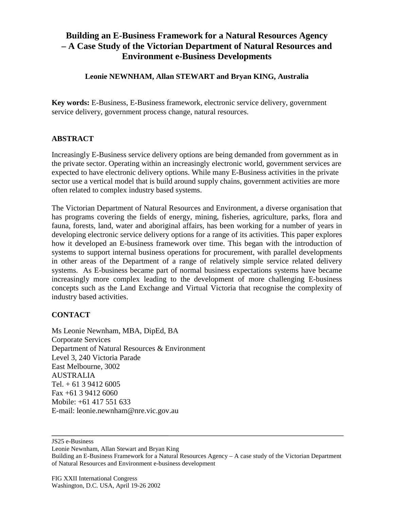## **Building an E-Business Framework for a Natural Resources Agency – A Case Study of the Victorian Department of Natural Resources and Environment e-Business Developments**

## **Leonie NEWNHAM, Allan STEWART and Bryan KING, Australia**

**Key words:** E-Business, E-Business framework, electronic service delivery, government service delivery, government process change, natural resources.

## **ABSTRACT**

Increasingly E-Business service delivery options are being demanded from government as in the private sector. Operating within an increasingly electronic world, government services are expected to have electronic delivery options. While many E-Business activities in the private sector use a vertical model that is build around supply chains, government activities are more often related to complex industry based systems.

The Victorian Department of Natural Resources and Environment, a diverse organisation that has programs covering the fields of energy, mining, fisheries, agriculture, parks, flora and fauna, forests, land, water and aboriginal affairs, has been working for a number of years in developing electronic service delivery options for a range of its activities. This paper explores how it developed an E-business framework over time. This began with the introduction of systems to support internal business operations for procurement, with parallel developments in other areas of the Department of a range of relatively simple service related delivery systems. As E-business became part of normal business expectations systems have became increasingly more complex leading to the development of more challenging E-business concepts such as the Land Exchange and Virtual Victoria that recognise the complexity of industry based activities.

## **CONTACT**

Ms Leonie Newnham, MBA, DipEd, BA Corporate Services Department of Natural Resources & Environment Level 3, 240 Victoria Parade East Melbourne, 3002 AUSTRALIA Tel.  $+ 61 3 9412 6005$ Fax +61 3 9412 6060 Mobile: +61 417 551 633 E-mail: leonie.newnham@nre.vic.gov.au

JS25 e-Business

Leonie Newnham, Allan Stewart and Bryan King

Building an E-Business Framework for a Natural Resources Agency – A case study of the Victorian Department of Natural Resources and Environment e-business development